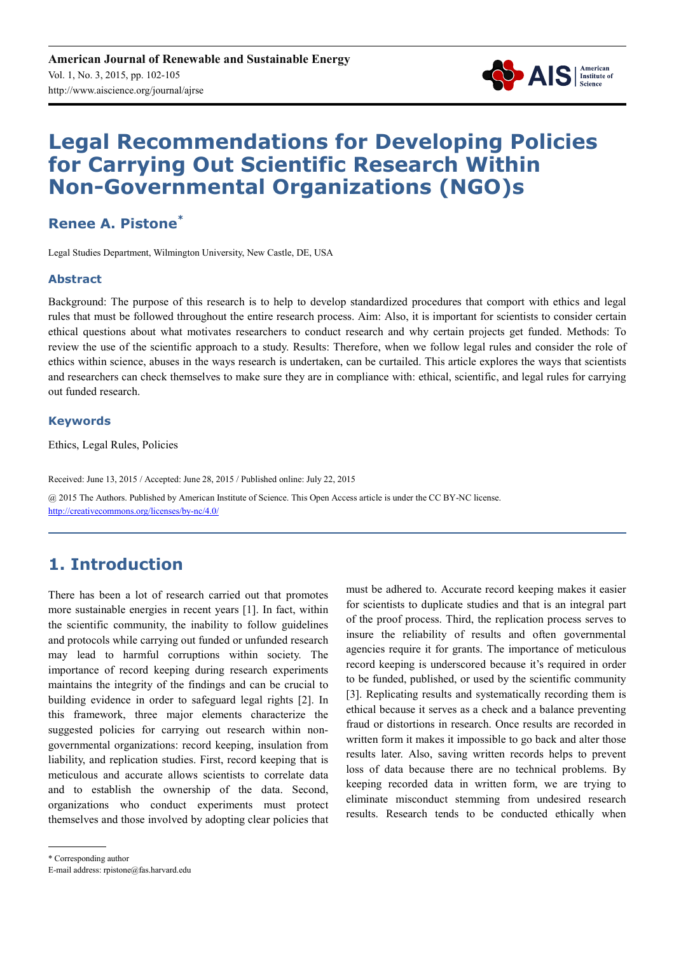

# **Legal Recommendations for Developing Policies for Carrying Out Scientific Research Within Non-Governmental Organizations (NGO)s**

#### **Renee A. Pistone\***

Legal Studies Department, Wilmington University, New Castle, DE, USA

#### **Abstract**

Background: The purpose of this research is to help to develop standardized procedures that comport with ethics and legal rules that must be followed throughout the entire research process. Aim: Also, it is important for scientists to consider certain ethical questions about what motivates researchers to conduct research and why certain projects get funded. Methods: To review the use of the scientific approach to a study. Results: Therefore, when we follow legal rules and consider the role of ethics within science, abuses in the ways research is undertaken, can be curtailed. This article explores the ways that scientists and researchers can check themselves to make sure they are in compliance with: ethical, scientific, and legal rules for carrying out funded research.

#### **Keywords**

Ethics, Legal Rules, Policies

Received: June 13, 2015 / Accepted: June 28, 2015 / Published online: July 22, 2015 @ 2015 The Authors. Published by American Institute of Science. This Open Access article is under the CC BY-NC license. http://creativecommons.org/licenses/by-nc/4.0/

## **1. Introduction**

There has been a lot of research carried out that promotes more sustainable energies in recent years [1]. In fact, within the scientific community, the inability to follow guidelines and protocols while carrying out funded or unfunded research may lead to harmful corruptions within society. The importance of record keeping during research experiments maintains the integrity of the findings and can be crucial to building evidence in order to safeguard legal rights [2]. In this framework, three major elements characterize the suggested policies for carrying out research within nongovernmental organizations: record keeping, insulation from liability, and replication studies. First, record keeping that is meticulous and accurate allows scientists to correlate data and to establish the ownership of the data. Second, organizations who conduct experiments must protect themselves and those involved by adopting clear policies that must be adhered to. Accurate record keeping makes it easier for scientists to duplicate studies and that is an integral part of the proof process. Third, the replication process serves to insure the reliability of results and often governmental agencies require it for grants. The importance of meticulous record keeping is underscored because it's required in order to be funded, published, or used by the scientific community [3]. Replicating results and systematically recording them is ethical because it serves as a check and a balance preventing fraud or distortions in research. Once results are recorded in written form it makes it impossible to go back and alter those results later. Also, saving written records helps to prevent loss of data because there are no technical problems. By keeping recorded data in written form, we are trying to eliminate misconduct stemming from undesired research results. Research tends to be conducted ethically when

\* Corresponding author

E-mail address: rpistone@fas.harvard.edu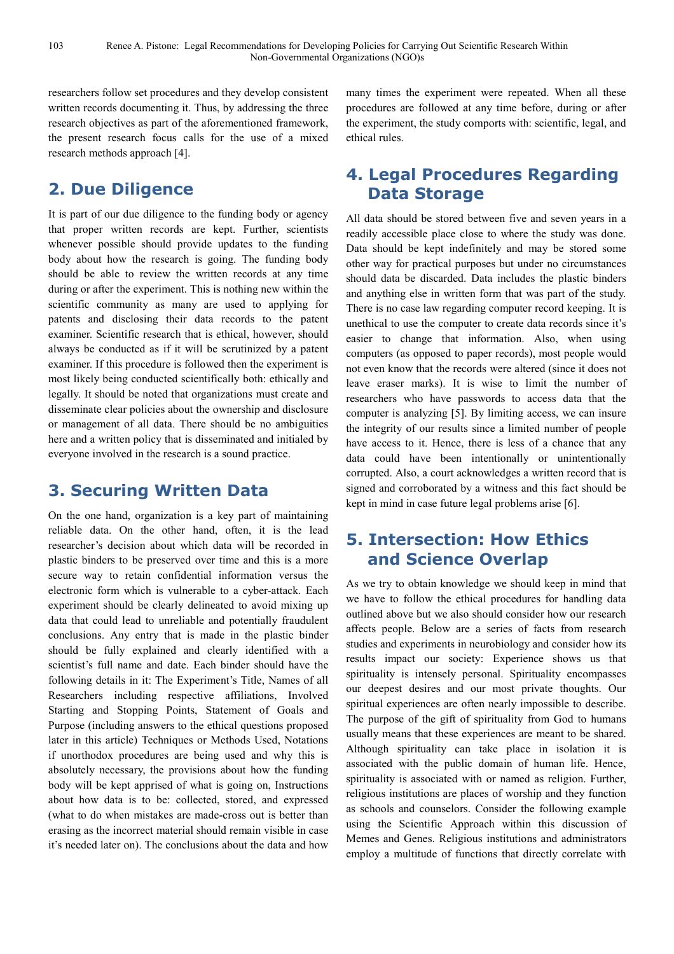researchers follow set procedures and they develop consistent written records documenting it. Thus, by addressing the three research objectives as part of the aforementioned framework, the present research focus calls for the use of a mixed research methods approach [4].

#### **2. Due Diligence**

It is part of our due diligence to the funding body or agency that proper written records are kept. Further, scientists whenever possible should provide updates to the funding body about how the research is going. The funding body should be able to review the written records at any time during or after the experiment. This is nothing new within the scientific community as many are used to applying for patents and disclosing their data records to the patent examiner. Scientific research that is ethical, however, should always be conducted as if it will be scrutinized by a patent examiner. If this procedure is followed then the experiment is most likely being conducted scientifically both: ethically and legally. It should be noted that organizations must create and disseminate clear policies about the ownership and disclosure or management of all data. There should be no ambiguities here and a written policy that is disseminated and initialed by everyone involved in the research is a sound practice.

## **3. Securing Written Data**

On the one hand, organization is a key part of maintaining reliable data. On the other hand, often, it is the lead researcher's decision about which data will be recorded in plastic binders to be preserved over time and this is a more secure way to retain confidential information versus the electronic form which is vulnerable to a cyber-attack. Each experiment should be clearly delineated to avoid mixing up data that could lead to unreliable and potentially fraudulent conclusions. Any entry that is made in the plastic binder should be fully explained and clearly identified with a scientist's full name and date. Each binder should have the following details in it: The Experiment's Title, Names of all Researchers including respective affiliations, Involved Starting and Stopping Points, Statement of Goals and Purpose (including answers to the ethical questions proposed later in this article) Techniques or Methods Used, Notations if unorthodox procedures are being used and why this is absolutely necessary, the provisions about how the funding body will be kept apprised of what is going on, Instructions about how data is to be: collected, stored, and expressed (what to do when mistakes are made-cross out is better than erasing as the incorrect material should remain visible in case it's needed later on). The conclusions about the data and how many times the experiment were repeated. When all these procedures are followed at any time before, during or after the experiment, the study comports with: scientific, legal, and ethical rules.

# **4. Legal Procedures Regarding Data Storage**

All data should be stored between five and seven years in a readily accessible place close to where the study was done. Data should be kept indefinitely and may be stored some other way for practical purposes but under no circumstances should data be discarded. Data includes the plastic binders and anything else in written form that was part of the study. There is no case law regarding computer record keeping. It is unethical to use the computer to create data records since it's easier to change that information. Also, when using computers (as opposed to paper records), most people would not even know that the records were altered (since it does not leave eraser marks). It is wise to limit the number of researchers who have passwords to access data that the computer is analyzing [5]. By limiting access, we can insure the integrity of our results since a limited number of people have access to it. Hence, there is less of a chance that any data could have been intentionally or unintentionally corrupted. Also, a court acknowledges a written record that is signed and corroborated by a witness and this fact should be kept in mind in case future legal problems arise [6].

## **5. Intersection: How Ethics and Science Overlap**

As we try to obtain knowledge we should keep in mind that we have to follow the ethical procedures for handling data outlined above but we also should consider how our research affects people. Below are a series of facts from research studies and experiments in neurobiology and consider how its results impact our society: Experience shows us that spirituality is intensely personal. Spirituality encompasses our deepest desires and our most private thoughts. Our spiritual experiences are often nearly impossible to describe. The purpose of the gift of spirituality from God to humans usually means that these experiences are meant to be shared. Although spirituality can take place in isolation it is associated with the public domain of human life. Hence, spirituality is associated with or named as religion. Further, religious institutions are places of worship and they function as schools and counselors. Consider the following example using the Scientific Approach within this discussion of Memes and Genes. Religious institutions and administrators employ a multitude of functions that directly correlate with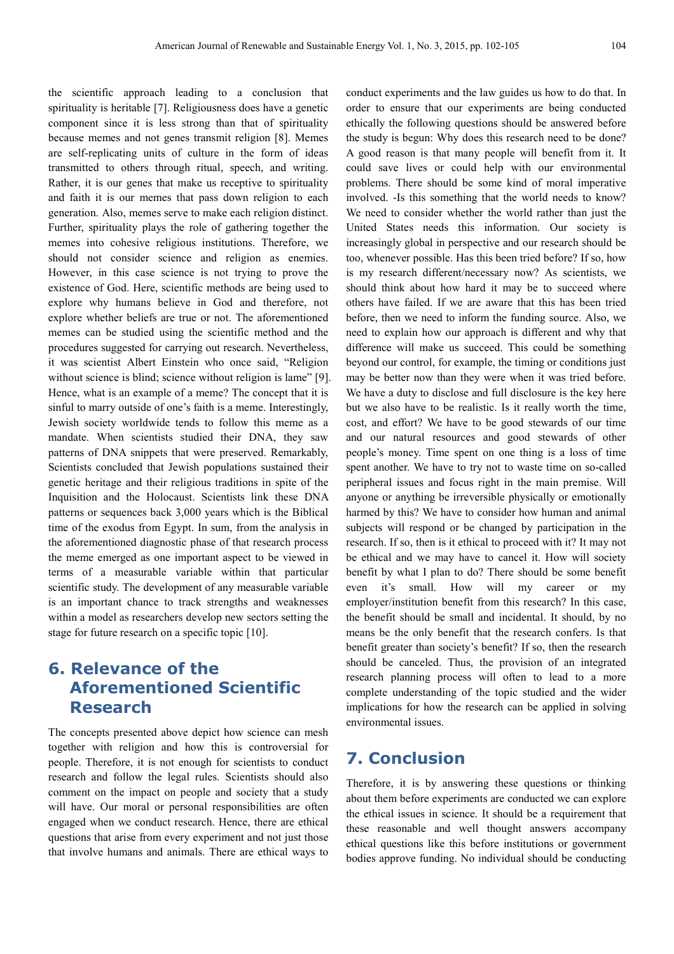the scientific approach leading to a conclusion that spirituality is heritable [7]. Religiousness does have a genetic component since it is less strong than that of spirituality because memes and not genes transmit religion [8]. Memes are self-replicating units of culture in the form of ideas transmitted to others through ritual, speech, and writing. Rather, it is our genes that make us receptive to spirituality and faith it is our memes that pass down religion to each generation. Also, memes serve to make each religion distinct. Further, spirituality plays the role of gathering together the memes into cohesive religious institutions. Therefore, we should not consider science and religion as enemies. However, in this case science is not trying to prove the existence of God. Here, scientific methods are being used to explore why humans believe in God and therefore, not explore whether beliefs are true or not. The aforementioned memes can be studied using the scientific method and the procedures suggested for carrying out research. Nevertheless, it was scientist Albert Einstein who once said, "Religion without science is blind; science without religion is lame" [9]. Hence, what is an example of a meme? The concept that it is sinful to marry outside of one's faith is a meme. Interestingly, Jewish society worldwide tends to follow this meme as a mandate. When scientists studied their DNA, they saw patterns of DNA snippets that were preserved. Remarkably, Scientists concluded that Jewish populations sustained their genetic heritage and their religious traditions in spite of the Inquisition and the Holocaust. Scientists link these DNA patterns or sequences back 3,000 years which is the Biblical time of the exodus from Egypt. In sum, from the analysis in the aforementioned diagnostic phase of that research process the meme emerged as one important aspect to be viewed in terms of a measurable variable within that particular scientific study. The development of any measurable variable is an important chance to track strengths and weaknesses within a model as researchers develop new sectors setting the stage for future research on a specific topic [10].

## **6. Relevance of the Aforementioned Scientific Research**

The concepts presented above depict how science can mesh together with religion and how this is controversial for people. Therefore, it is not enough for scientists to conduct research and follow the legal rules. Scientists should also comment on the impact on people and society that a study will have. Our moral or personal responsibilities are often engaged when we conduct research. Hence, there are ethical questions that arise from every experiment and not just those that involve humans and animals. There are ethical ways to

conduct experiments and the law guides us how to do that. In order to ensure that our experiments are being conducted ethically the following questions should be answered before the study is begun: Why does this research need to be done? A good reason is that many people will benefit from it. It could save lives or could help with our environmental problems. There should be some kind of moral imperative involved. -Is this something that the world needs to know? We need to consider whether the world rather than just the United States needs this information. Our society is increasingly global in perspective and our research should be too, whenever possible. Has this been tried before? If so, how is my research different/necessary now? As scientists, we should think about how hard it may be to succeed where others have failed. If we are aware that this has been tried before, then we need to inform the funding source. Also, we need to explain how our approach is different and why that difference will make us succeed. This could be something beyond our control, for example, the timing or conditions just may be better now than they were when it was tried before. We have a duty to disclose and full disclosure is the key here but we also have to be realistic. Is it really worth the time, cost, and effort? We have to be good stewards of our time and our natural resources and good stewards of other people's money. Time spent on one thing is a loss of time spent another. We have to try not to waste time on so-called peripheral issues and focus right in the main premise. Will anyone or anything be irreversible physically or emotionally harmed by this? We have to consider how human and animal subjects will respond or be changed by participation in the research. If so, then is it ethical to proceed with it? It may not be ethical and we may have to cancel it. How will society benefit by what I plan to do? There should be some benefit even it's small. How will my career or my employer/institution benefit from this research? In this case, the benefit should be small and incidental. It should, by no means be the only benefit that the research confers. Is that benefit greater than society's benefit? If so, then the research should be canceled. Thus, the provision of an integrated research planning process will often to lead to a more complete understanding of the topic studied and the wider implications for how the research can be applied in solving environmental issues.

#### **7. Conclusion**

Therefore, it is by answering these questions or thinking about them before experiments are conducted we can explore the ethical issues in science. It should be a requirement that these reasonable and well thought answers accompany ethical questions like this before institutions or government bodies approve funding. No individual should be conducting